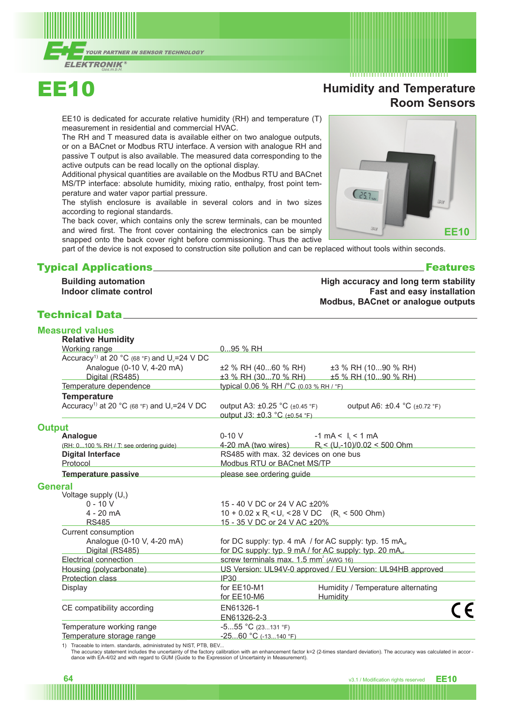



# **Humidity and Temperature Room Sensors**

EE10 is dedicated for accurate relative humidity (RH) and temperature (T) measurement in residential and commercial HVAC.

The RH and T measured data is available either on two analogue outputs, or on a BACnet or Modbus RTU interface. A version with analogue RH and passive T output is also available. The measured data corresponding to the active outputs can be read locally on the optional display.

Additional physical quantities are available on the Modbus RTU and BACnet MS/TP interface: absolute humidity, mixing ratio, enthalpy, frost point temperature and water vapor partial pressure.

The stylish enclosure is available in several colors and in two sizes according to regional standards.

The back cover, which contains only the screw terminals, can be mounted and wired first. The front cover containing the electronics can be simply snapped onto the back cover right before commissioning. Thus the active

part of the device is not exposed to construction site pollution and can be replaced without tools within seconds.

### Typical Applications Features

**Building automation Indoor climate control**

### Technical Data

| <b>Measured values</b><br><b>Relative Humidity</b>                  |                                                                 |                                                                    |  |
|---------------------------------------------------------------------|-----------------------------------------------------------------|--------------------------------------------------------------------|--|
| Working range                                                       | 095 % RH                                                        |                                                                    |  |
| Accuracy <sup>1)</sup> at 20 °C (68 °F) and U <sub>v</sub> =24 V DC |                                                                 |                                                                    |  |
| Analogue (0-10 V, 4-20 mA)                                          | ±2 % RH (4060 % RH)                                             | ±3 % RH (1090 % RH)                                                |  |
| Digital (RS485)                                                     |                                                                 | ±3 % RH (3070 % RH) ±5 % RH (1090 % RH)                            |  |
| Temperature dependence                                              | typical 0.06 % RH /°C (0.03 % RH / °F)                          |                                                                    |  |
| <b>Temperature</b>                                                  |                                                                 |                                                                    |  |
| Accuracy <sup>1)</sup> at 20 °C (68 °F) and U <sub>v</sub> =24 V DC | output A3: ±0.25 °C (±0.45 °F)<br>output J3: ±0.3 °C (±0.54 °F) | output A6: ±0.4 °C (±0.72 °F)                                      |  |
| <b>Output</b>                                                       |                                                                 |                                                                    |  |
| Analogue                                                            | $0-10V$                                                         | $-1$ mA < $\mid$ < 1 mA                                            |  |
| (RH: 0100 % RH / T: see ordering guide)                             |                                                                 | 4-20 mA (two wires) $R_i < (U_v-10)/0.02 < 500$ Ohm                |  |
| <b>Digital Interface</b>                                            | RS485 with max. 32 devices on one bus                           |                                                                    |  |
| Protocol                                                            | Modbus RTU or BACnet MS/TP                                      |                                                                    |  |
| <b>Temperature passive</b>                                          | please see ordering guide                                       |                                                                    |  |
| <b>General</b>                                                      |                                                                 |                                                                    |  |
| Voltage supply (U <sub>v</sub> )                                    |                                                                 |                                                                    |  |
| $0 - 10 V$                                                          | 15 - 40 V DC or 24 V AC ± 20%                                   |                                                                    |  |
| $4 - 20$ mA                                                         |                                                                 | $10 + 0.02 \times R_i < U_v < 28$ V DC $(R_i < 500$ Ohm)           |  |
| <b>RS485</b>                                                        | 15 - 35 V DC or 24 V AC ± 20%                                   |                                                                    |  |
| Current consumption                                                 |                                                                 |                                                                    |  |
| Analogue (0-10 V, 4-20 mA)                                          |                                                                 | for DC supply: typ. 4 mA / for AC supply: typ. 15 mA <sub>ef</sub> |  |
| Digital (RS485)                                                     |                                                                 | for DC supply: typ. 9 mA / for AC supply: typ. 20 mA.              |  |
| Electrical connection                                               | screw terminals max. 1.5 mm <sup>2</sup> (AWG 16)               |                                                                    |  |
| Housing (polycarbonate)                                             |                                                                 | US Version: UL94V-0 approved / EU Version: UL94HB approved         |  |
| Protection class                                                    | <b>IP30</b>                                                     |                                                                    |  |
| Display                                                             | for EE10-M1<br>for EE10-M6                                      | Humidity / Temperature alternating<br>Humidity                     |  |
| CE compatibility according                                          | EN61326-1<br>T1101000000                                        |                                                                    |  |

EN61326-2-3<br>-5...55 °C (23...131 °F) Temperature working range Temperature storage range -25...60 °C (-13...140 °F)

1) Traceable to intern. standards, administrated by NIST, PTB, BEV...

The accuracy statement includes the uncertainty of the factory calibration with an enhancement factor k=2 (2-times standard deviation). The accuracy was calculated in accor-<br>dance with EA-4/02 and with regard to GUM (Guide



#### **High accuracy and long term stability Fast and easy installation Modbus, BACnet or analogue outputs**

**64** v3.1 / Modification rights reserved **EE10**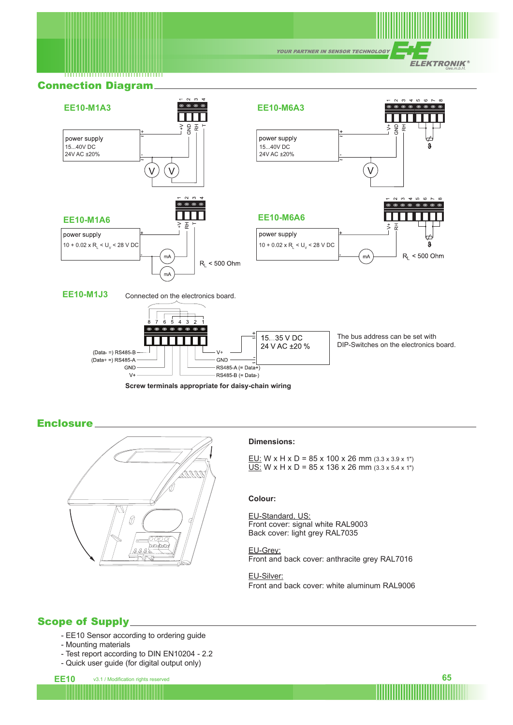**YOUR PARTNER IN SENSOR TECHNOLOGY** 

**ELEKTRONIK®** 

# Connection Diagram



**Screw terminals appropriate for daisy-chain wiring**

**Enclosure** 



#### **Dimensions:**

EU: W x H x D =  $85$  x 100 x 26 mm  $(3.3 \times 3.9 \times 1")$  $\underline{US:}$  W x H x D = 85 x 136 x 26 mm (3.3 x 5.4 x 1")

#### **Colour:**

EU-Standard, US: Front cover: signal white RAL9003 Back cover: light grey RAL7035

EU-Grey: Front and back cover: anthracite grey RAL7016

EU-Silver: Front and back cover: white aluminum RAL9006

### Scope of Supply

- EE10 Sensor according to ordering guide
- Mounting materials
- Test report according to DIN EN10204 2.2
- Quick user guide (for digital output only)